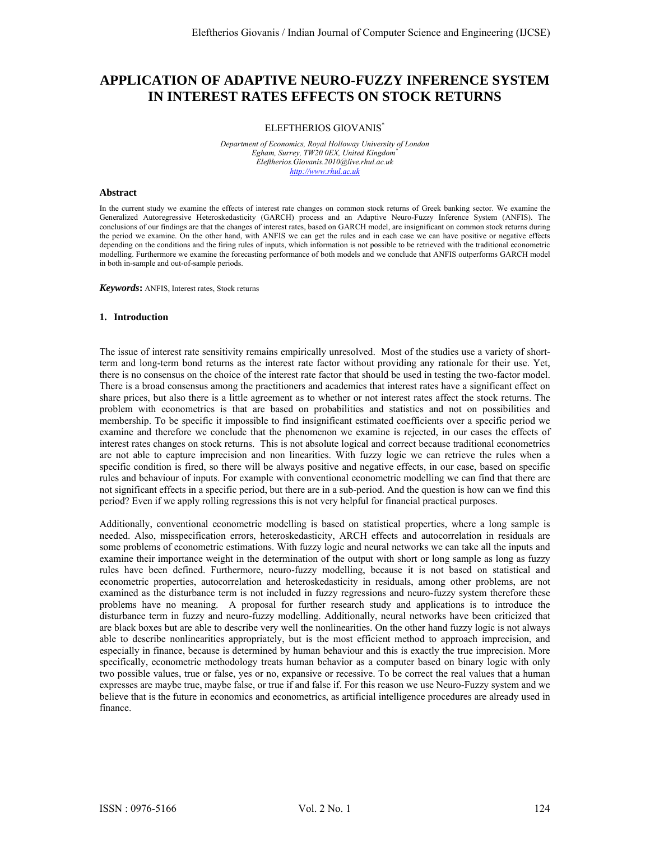# **APPLICATION OF ADAPTIVE NEURO-FUZZY INFERENCE SYSTEM IN INTEREST RATES EFFECTS ON STOCK RETURNS**

## ELEFTHERIOS GIOVANIS\*

*Department of Economics, Royal Holloway University of London Egham, Surrey, TW20 0EX, United Kingdom\* Eleftherios.Giovanis.2010@live.rhul.ac.uk http://www.rhul.ac.uk*

## **Abstract**

In the current study we examine the effects of interest rate changes on common stock returns of Greek banking sector. We examine the Generalized Autoregressive Heteroskedasticity (GARCH) process and an Adaptive Neuro-Fuzzy Inference System (ANFIS). The conclusions of our findings are that the changes of interest rates, based on GARCH model, are insignificant on common stock returns during the period we examine. On the other hand, with ANFIS we can get the rules and in each case we can have positive or negative effects depending on the conditions and the firing rules of inputs, which information is not possible to be retrieved with the traditional econometric modelling. Furthermore we examine the forecasting performance of both models and we conclude that ANFIS outperforms GARCH model in both in-sample and out-of-sample periods.

*Keywords***:** ANFIS, Interest rates, Stock returns

## **1. Introduction**

The issue of interest rate sensitivity remains empirically unresolved. Most of the studies use a variety of shortterm and long-term bond returns as the interest rate factor without providing any rationale for their use. Yet, there is no consensus on the choice of the interest rate factor that should be used in testing the two-factor model. There is a broad consensus among the practitioners and academics that interest rates have a significant effect on share prices, but also there is a little agreement as to whether or not interest rates affect the stock returns. The problem with econometrics is that are based on probabilities and statistics and not on possibilities and membership. To be specific it impossible to find insignificant estimated coefficients over a specific period we examine and therefore we conclude that the phenomenon we examine is rejected, in our cases the effects of interest rates changes on stock returns. This is not absolute logical and correct because traditional econometrics are not able to capture imprecision and non linearities. With fuzzy logic we can retrieve the rules when a specific condition is fired, so there will be always positive and negative effects, in our case, based on specific rules and behaviour of inputs. For example with conventional econometric modelling we can find that there are not significant effects in a specific period, but there are in a sub-period. And the question is how can we find this period? Even if we apply rolling regressions this is not very helpful for financial practical purposes.

Additionally, conventional econometric modelling is based on statistical properties, where a long sample is needed. Also, misspecification errors, heteroskedasticity, ARCH effects and autocorrelation in residuals are some problems of econometric estimations. With fuzzy logic and neural networks we can take all the inputs and examine their importance weight in the determination of the output with short or long sample as long as fuzzy rules have been defined. Furthermore, neuro-fuzzy modelling, because it is not based on statistical and econometric properties, autocorrelation and heteroskedasticity in residuals, among other problems, are not examined as the disturbance term is not included in fuzzy regressions and neuro-fuzzy system therefore these problems have no meaning. A proposal for further research study and applications is to introduce the disturbance term in fuzzy and neuro-fuzzy modelling. Additionally, neural networks have been criticized that are black boxes but are able to describe very well the nonlinearities. On the other hand fuzzy logic is not always able to describe nonlinearities appropriately, but is the most efficient method to approach imprecision, and especially in finance, because is determined by human behaviour and this is exactly the true imprecision. More specifically, econometric methodology treats human behavior as a computer based on binary logic with only two possible values, true or false, yes or no, expansive or recessive. To be correct the real values that a human expresses are maybe true, maybe false, or true if and false if. For this reason we use Neuro-Fuzzy system and we believe that is the future in economics and econometrics, as artificial intelligence procedures are already used in finance.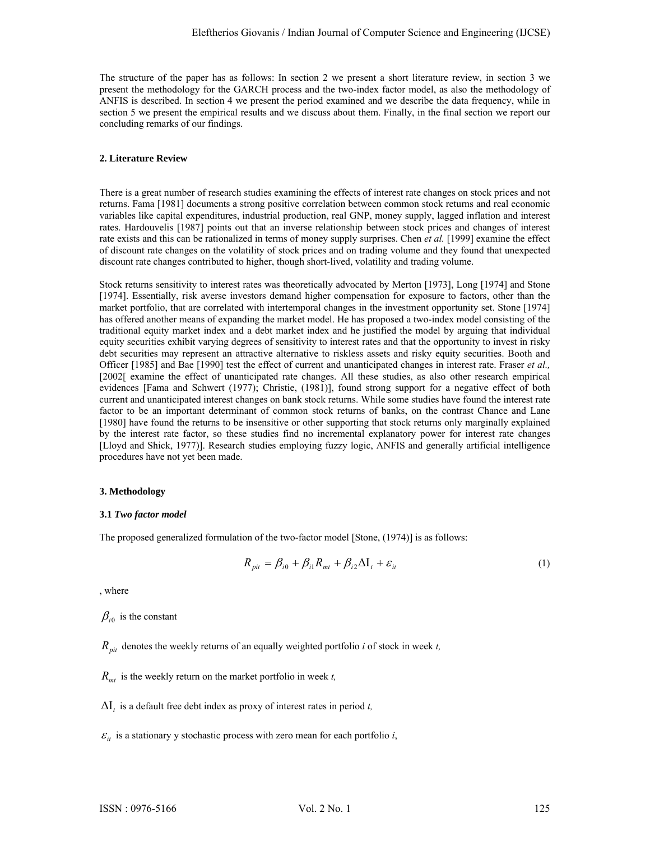The structure of the paper has as follows: In section 2 we present a short literature review, in section 3 we present the methodology for the GARCH process and the two-index factor model, as also the methodology of ANFIS is described. In section 4 we present the period examined and we describe the data frequency, while in section 5 we present the empirical results and we discuss about them. Finally, in the final section we report our concluding remarks of our findings.

# **2. Literature Review**

There is a great number of research studies examining the effects of interest rate changes on stock prices and not returns. Fama [1981] documents a strong positive correlation between common stock returns and real economic variables like capital expenditures, industrial production, real GNP, money supply, lagged inflation and interest rates. Hardouvelis [1987] points out that an inverse relationship between stock prices and changes of interest rate exists and this can be rationalized in terms of money supply surprises. Chen *et al.* [1999] examine the effect of discount rate changes on the volatility of stock prices and on trading volume and they found that unexpected discount rate changes contributed to higher, though short-lived, volatility and trading volume.

Stock returns sensitivity to interest rates was theoretically advocated by Merton [1973], Long [1974] and Stone [1974]. Essentially, risk averse investors demand higher compensation for exposure to factors, other than the market portfolio, that are correlated with intertemporal changes in the investment opportunity set. Stone [1974] has offered another means of expanding the market model. He has proposed a two-index model consisting of the traditional equity market index and a debt market index and he justified the model by arguing that individual equity securities exhibit varying degrees of sensitivity to interest rates and that the opportunity to invest in risky debt securities may represent an attractive alternative to riskless assets and risky equity securities. Booth and Officer [1985] and Bae [1990] test the effect of current and unanticipated changes in interest rate. Fraser *et al.,* [2002[ examine the effect of unanticipated rate changes. All these studies, as also other research empirical evidences [Fama and Schwert (1977); Christie, (1981)], found strong support for a negative effect of both current and unanticipated interest changes on bank stock returns. While some studies have found the interest rate factor to be an important determinant of common stock returns of banks, on the contrast Chance and Lane [1980] have found the returns to be insensitive or other supporting that stock returns only marginally explained by the interest rate factor, so these studies find no incremental explanatory power for interest rate changes [Lloyd and Shick, 1977)]. Research studies employing fuzzy logic, ANFIS and generally artificial intelligence procedures have not yet been made.

## **3. Methodology**

## **3.1** *Two factor model*

The proposed generalized formulation of the two-factor model [Stone, (1974)] is as follows:

$$
R_{\text{pit}} = \beta_{i0} + \beta_{i1} R_{\text{mt}} + \beta_{i2} \Delta I_t + \varepsilon_{it} \tag{1}
$$

, where

 $\beta_{i0}$  is the constant

- $R_{\textit{nit}}$  denotes the weekly returns of an equally weighted portfolio *i* of stock in week *t*,
- *Rmt* is the weekly return on the market portfolio in week *t,*
- $\Delta I_t$  is a default free debt index as proxy of interest rates in period *t*,
- $\varepsilon_{it}$  is a stationary y stochastic process with zero mean for each portfolio *i*,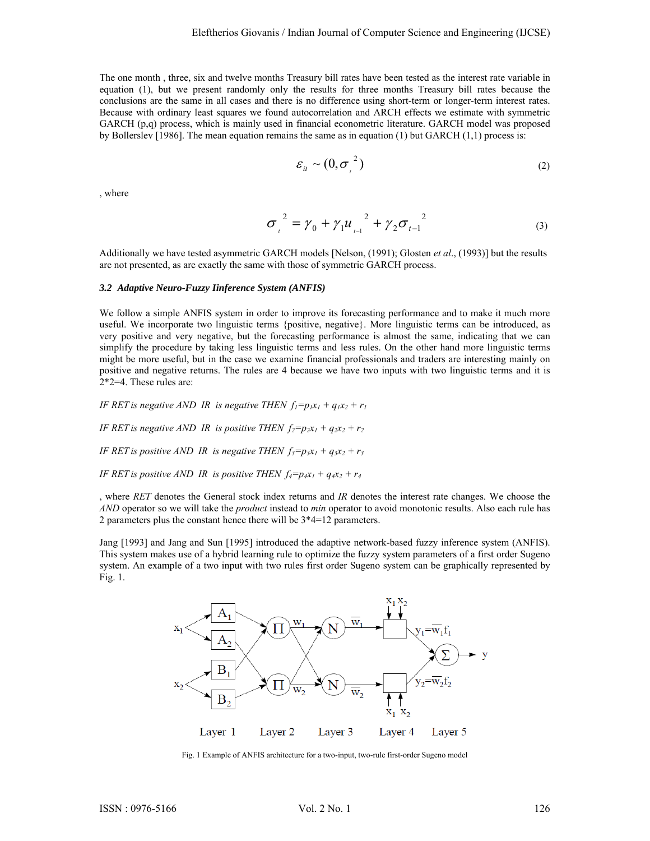The one month , three, six and twelve months Treasury bill rates have been tested as the interest rate variable in equation (1), but we present randomly only the results for three months Treasury bill rates because the conclusions are the same in all cases and there is no difference using short-term or longer-term interest rates. Because with ordinary least squares we found autocorrelation and ARCH effects we estimate with symmetric GARCH (p,q) process, which is mainly used in financial econometric literature. GARCH model was proposed by Bollerslev [1986]. The mean equation remains the same as in equation (1) but GARCH (1,1) process is:

$$
\varepsilon_{it} \sim (0, \sigma_{t}^{2})
$$
 (2)

, where

$$
\sigma_{t}^{2} = \gamma_{0} + \gamma_{1} u_{t}^{2} + \gamma_{2} \sigma_{t-1}^{2}
$$
 (3)

Additionally we have tested asymmetric GARCH models [Nelson, (1991); Glosten *et al*., (1993)] but the results are not presented, as are exactly the same with those of symmetric GARCH process.

## *3.2 Adaptive Neuro-Fuzzy Iinference System (ANFIS)*

We follow a simple ANFIS system in order to improve its forecasting performance and to make it much more useful. We incorporate two linguistic terms {positive, negative}. More linguistic terms can be introduced, as very positive and very negative, but the forecasting performance is almost the same, indicating that we can simplify the procedure by taking less linguistic terms and less rules. On the other hand more linguistic terms might be more useful, but in the case we examine financial professionals and traders are interesting mainly on positive and negative returns. The rules are 4 because we have two inputs with two linguistic terms and it is 2\*2=4. These rules are:

*IF RET is negative AND IR is negative THEN*  $f_1=p_1x_1 + q_1x_2 + r_1$ 

*IF RET is negative AND IR is positive THEN*  $f_2 = p_1x_1 + q_2x_2 + r_2$ 

*IF RET is positive AND IR is negative THEN*  $f_3 = p_3x_1 + q_3x_2 + r_3$ 

*IF RET is positive AND IR is positive THEN*  $f_4=p_4x_1+q_4x_2+r_4$ 

, where *RET* denotes the General stock index returns and *IR* denotes the interest rate changes. We choose the *AND* operator so we will take the *product* instead to *min* operator to avoid monotonic results. Also each rule has 2 parameters plus the constant hence there will be 3\*4=12 parameters.

Jang [1993] and Jang and Sun [1995] introduced the adaptive network-based fuzzy inference system (ANFIS). This system makes use of a hybrid learning rule to optimize the fuzzy system parameters of a first order Sugeno system. An example of a two input with two rules first order Sugeno system can be graphically represented by Fig. 1.



Fig. 1 Example of ANFIS architecture for a two-input, two-rule first-order Sugeno model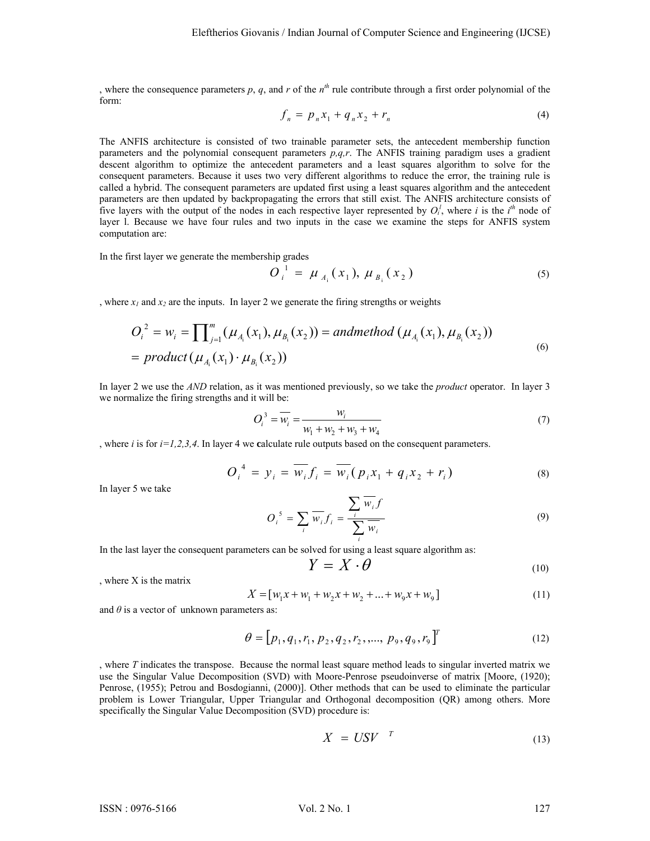, where the consequence parameters  $p$ ,  $q$ , and  $r$  of the  $n<sup>th</sup>$  rule contribute through a first order polynomial of the form:

$$
f_n = p_n x_1 + q_n x_2 + r_n \tag{4}
$$

The ANFIS architecture is consisted of two trainable parameter sets, the antecedent membership function parameters and the polynomial consequent parameters *p,q,r*. The ANFIS training paradigm uses a gradient descent algorithm to optimize the antecedent parameters and a least squares algorithm to solve for the consequent parameters. Because it uses two very different algorithms to reduce the error, the training rule is called a hybrid. The consequent parameters are updated first using a least squares algorithm and the antecedent parameters are then updated by backpropagating the errors that still exist. The ANFIS architecture consists of five layers with the output of the nodes in each respective layer represented by  $O_i^l$ , where *i* is the *i*<sup>th</sup> node of layer l. Because we have four rules and two inputs in the case we examine the steps for ANFIS system computation are:

In the first layer we generate the membership grades

$$
O_i^1 = \mu_{A_i}(x_1), \mu_{B_i}(x_2) \tag{5}
$$

, where  $x_1$  and  $x_2$  are the inputs. In layer 2 we generate the firing strengths or weights

$$
O_i^2 = w_i = \prod_{j=1}^m (\mu_{A_i}(x_1), \mu_{B_i}(x_2)) = \text{andmethod } (\mu_{A_i}(x_1), \mu_{B_i}(x_2))
$$
  
= \text{product } (\mu\_{A\_i}(x\_1) \cdot \mu\_{B\_i}(x\_2)) \tag{6}

In layer 2 we use the *AND* relation, as it was mentioned previously, so we take the *product* operator. In layer 3 we normalize the firing strengths and it will be:

$$
O_i^3 = \overline{w_i} = \frac{w_i}{w_1 + w_2 + w_3 + w_4}
$$
 (7)

, where  $i$  is for  $i=1,2,3,4$ . In layer 4 we calculate rule outputs based on the consequent parameters.

$$
O_i^4 = y_i = \overline{w_i} f_i = \overline{w_i} (p_i x_1 + q_i x_2 + r_i)
$$
\n[B] over 5, we take

In layer 5 we take

$$
O_i^s = \sum_i \overline{w_i} f_i = \frac{\sum_i \overline{w_i} f}{\sum_i \overline{w_i}}
$$
(9)

In the last layer the consequent parameters can be solved for using a least square algorithm as:

$$
Y = X \cdot \theta \tag{10}
$$

, where X is the matrix

$$
X = [w_1 x + w_1 + w_2 x + w_2 + \dots + w_9 x + w_9]
$$
\n(11)

and  $\theta$  is a vector of unknown parameters as:

$$
\theta = [p_1, q_1, r_1, p_2, q_2, r_2, \dots, p_9, q_9, r_9]^T
$$
\n(12)

, where *T* indicates the transpose. Because the normal least square method leads to singular inverted matrix we use the Singular Value Decomposition (SVD) with Moore-Penrose pseudoinverse of matrix [Moore, (1920); Penrose, (1955); Petrou and Bosdogianni, (2000)]. Other methods that can be used to eliminate the particular problem is Lower Triangular, Upper Triangular and Orthogonal decomposition (QR) among others. More specifically the Singular Value Decomposition (SVD) procedure is:

$$
X = USV \t\t(13)
$$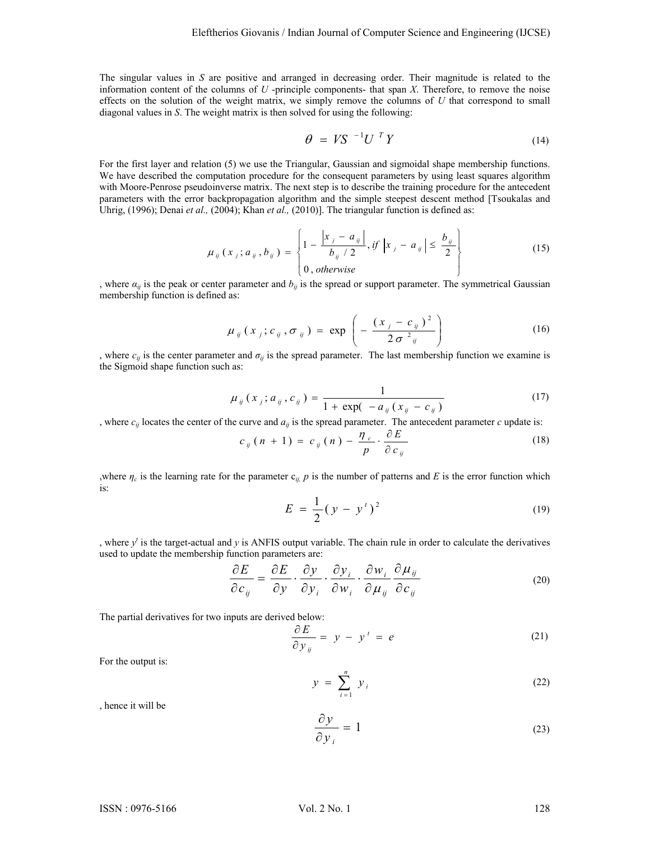The singular values in *S* are positive and arranged in decreasing order. Their magnitude is related to the information content of the columns of *U* -principle components- that span *X*. Therefore, to remove the noise effects on the solution of the weight matrix, we simply remove the columns of *U* that correspond to small diagonal values in *S*. The weight matrix is then solved for using the following:

$$
\theta = VS^{-1}U^T Y \tag{14}
$$

For the first layer and relation (5) we use the Triangular, Gaussian and sigmoidal shape membership functions. We have described the computation procedure for the consequent parameters by using least squares algorithm with Moore-Penrose pseudoinverse matrix. The next step is to describe the training procedure for the antecedent parameters with the error backpropagation algorithm and the simple steepest descent method [Tsoukalas and Uhrig, (1996); Denai *et al.*, (2004); Khan *et al.*, (2010)]. The triangular function is defined as:

$$
\mu_{ij}(x_j; a_{ij}, b_{ij}) = \begin{cases} 1 - \frac{|x_j - a_{ij}|}{b_{ij}/2}, \text{if } |x_j - a_{ij}| \le \frac{b_{ij}}{2} \\ 0, \text{otherwise} \end{cases}
$$
(15)

, where  $a_{ij}$  is the peak or center parameter and  $b_{ij}$  is the spread or support parameter. The symmetrical Gaussian membership function is defined as:

$$
\mu_{ij}(x_j; c_{ij}, \sigma_{ij}) = \exp\left(-\frac{(x_j - c_{ij})^2}{2\sigma^2_{ij}}\right)
$$
 (16)

, where  $c_{ij}$  is the center parameter and  $\sigma_{ij}$  is the spread parameter. The last membership function we examine is the Sigmoid shape function such as:

$$
\mu_{ij}(x_j; a_{ij}, c_{ij}) = \frac{1}{1 + \exp(-a_{ij}(x_{ij} - c_{ij}))}
$$
(17)

, where  $c_{ij}$  locates the center of the curve and  $a_{ij}$  is the spread parameter. The antecedent parameter *c* update is:

$$
c_{ij}(n+1) = c_{ij}(n) - \frac{\eta_c}{p} \cdot \frac{\partial E}{\partial c_{ij}}
$$
 (18)

,where  $\eta_c$  is the learning rate for the parameter  $c_{ij}$ ,  $p$  is the number of patterns and  $E$  is the error function which is:

$$
E = \frac{1}{2} (y - yt)2
$$
 (19)

, where  $y<sup>t</sup>$  is the target-actual and  $y$  is ANFIS output variable. The chain rule in order to calculate the derivatives used to update the membership function parameters are:

$$
\frac{\partial E}{\partial c_{ij}} = \frac{\partial E}{\partial y} \cdot \frac{\partial y}{\partial y_i} \cdot \frac{\partial y_i}{\partial w_i} \cdot \frac{\partial w_i}{\partial \mu_{ij}} \frac{\partial \mu_{ij}}{\partial c_{ij}}
$$
(20)

The partial derivatives for two inputs are derived below:

$$
\frac{\partial E}{\partial y_{ij}} = y - y' = e \tag{21}
$$

For the output is:

$$
y = \sum_{i=1}^{n} y_i
$$
 (22)

, hence it will be

$$
\frac{\partial y}{\partial y_i} = 1\tag{23}
$$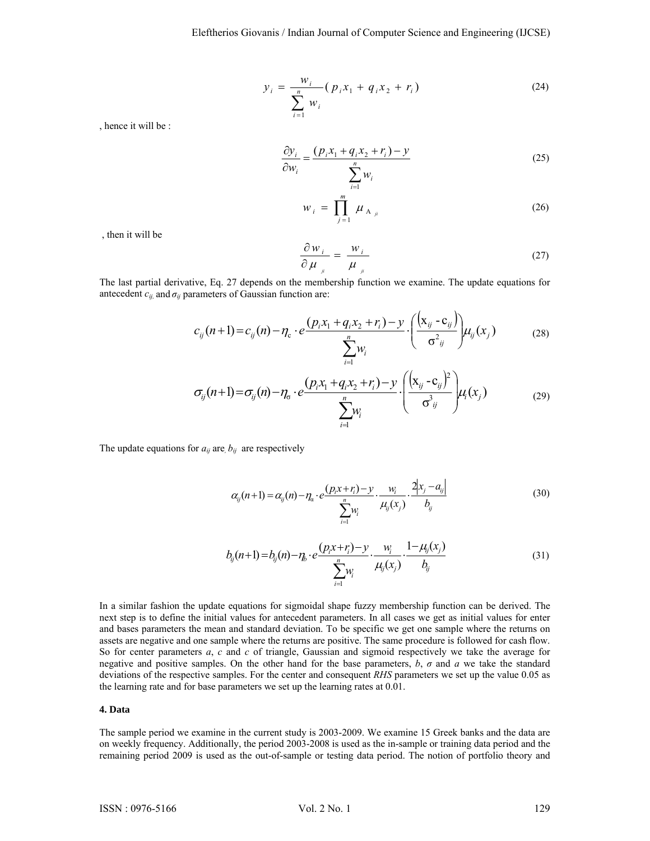$$
y_i = \frac{w_i}{\sum_{i=1}^n w_i} (p_i x_1 + q_i x_2 + r_i)
$$
 (24)

, hence it will be :

$$
\frac{\partial y_i}{\partial w_i} = \frac{(p_i x_1 + q_i x_2 + r_i) - y}{\sum_{i=1}^n w_i}
$$
\n(25)

$$
W_{i} = \prod_{j=1}^{m} \mu_{A_{ji}}
$$
 (26)

, then it will be

$$
\frac{\partial w_i}{\partial \mu_{\mu}} = \frac{w_i}{\mu_{\mu}}
$$
 (27)

The last partial derivative, Eq. 27 depends on the membership function we examine. The update equations for antecedent  $c_{ij}$  and  $\sigma_{ij}$  parameters of Gaussian function are:

$$
c_{ij}(n+1) = c_{ij}(n) - \eta_c \cdot e \frac{(p_i x_1 + q_i x_2 + r_i) - y}{\sum_{i=1}^n w_i} \cdot \left(\frac{(x_{ij} - c_{ij})}{\sigma^2_{ij}}\right) \mu_{ij}(x_j)
$$
(28)

$$
\sigma_{ij}(n+1) = \sigma_{ij}(n) - \eta_{\sigma} \cdot e^{\frac{(p_i x_1 + q_i x_2 + r_i) - y}{\sum_{i=1}^{n} W_i} \cdot \frac{(\left(x_{ij} - c_{ij}\right)^2}{\sigma_{ij}^3})} \mu_i(x_j)
$$
(29)

The update equations for  $a_{ij}$  are,  $b_{ij}$  are respectively

$$
\alpha_{ij}(n+1) = \alpha_{ij}(n) - \eta_{\alpha} \cdot e^{\frac{\left(p_i x + r_i\right) - y}{n}} \cdot \frac{w_i}{\mu_{ij}(x_j)} \cdot \frac{2|x_j - a_{ij}|}{b_{ij}}
$$
\n
$$
\tag{30}
$$

$$
b_{ij}(n+1) = b_{ij}(n) - \eta_i \cdot e \frac{(p_i x + r_i) - y}{\sum_{i=1}^n w_i} \cdot \frac{w_i}{\mu_{ij}(x_j)} \cdot \frac{1 - \mu_{ij}(x_j)}{b_{ij}}
$$
(31)

In a similar fashion the update equations for sigmoidal shape fuzzy membership function can be derived. The next step is to define the initial values for antecedent parameters. In all cases we get as initial values for enter and bases parameters the mean and standard deviation. To be specific we get one sample where the returns on assets are negative and one sample where the returns are positive. The same procedure is followed for cash flow. So for center parameters *a*, *c* and *c* of triangle, Gaussian and sigmoid respectively we take the average for negative and positive samples. On the other hand for the base parameters, *b*, *σ* and *a* we take the standard deviations of the respective samples. For the center and consequent *RHS* parameters we set up the value 0.05 as the learning rate and for base parameters we set up the learning rates at 0.01.

## **4. Data**

The sample period we examine in the current study is 2003-2009. We examine 15 Greek banks and the data are on weekly frequency. Additionally, the period 2003-2008 is used as the in-sample or training data period and the remaining period 2009 is used as the out-of-sample or testing data period. The notion of portfolio theory and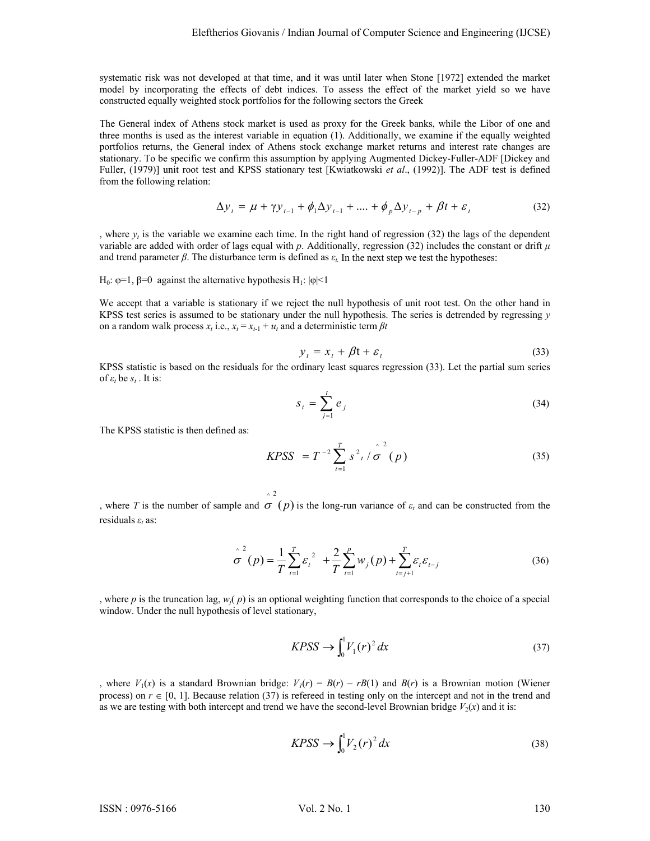systematic risk was not developed at that time, and it was until later when Stone [1972] extended the market model by incorporating the effects of debt indices. To assess the effect of the market yield so we have constructed equally weighted stock portfolios for the following sectors the Greek

The General index of Athens stock market is used as proxy for the Greek banks, while the Libor of one and three months is used as the interest variable in equation (1). Additionally, we examine if the equally weighted portfolios returns, the General index of Athens stock exchange market returns and interest rate changes are stationary. To be specific we confirm this assumption by applying Augmented Dickey-Fuller-ADF [Dickey and Fuller, (1979)] unit root test and KPSS stationary test [Kwiatkowski *et al*., (1992)]. The ADF test is defined from the following relation:

$$
\Delta y_t = \mu + \gamma y_{t-1} + \phi_1 \Delta y_{t-1} + \dots + \phi_p \Delta y_{t-p} + \beta t + \varepsilon_t
$$
\n(32)

, where  $y_t$  is the variable we examine each time. In the right hand of regression (32) the lags of the dependent variable are added with order of lags equal with  $p$ . Additionally, regression (32) includes the constant or drift  $\mu$ and trend parameter  $\beta$ . The disturbance term is defined as  $\varepsilon_t$ . In the next step we test the hypotheses:

H<sub>0</sub>: φ=1, β=0 against the alternative hypothesis H<sub>1</sub>:  $|φ|$ <1

We accept that a variable is stationary if we reject the null hypothesis of unit root test. On the other hand in KPSS test series is assumed to be stationary under the null hypothesis. The series is detrended by regressing *y* on a random walk process  $x_t$  i.e.,  $x_t = x_{t-1} + u_t$  and a deterministic term  $\beta t$ 

$$
y_t = x_t + \beta t + \varepsilon_t \tag{33}
$$

KPSS statistic is based on the residuals for the ordinary least squares regression (33). Let the partial sum series of  $ε<sub>t</sub>$  be  $s<sub>t</sub>$ . It is:

$$
s_i = \sum_{j=1}^t e_j \tag{34}
$$

The KPSS statistic is then defined as:

$$
KPSS = T^{-2} \sum_{t=1}^{T} s^2_t / \hat{\sigma}^2(p)
$$
 (35)

, where *T* is the number of sample and  $\sigma$  (*p*) is the long-run variance of  $\varepsilon$ *t* and can be constructed from the residuals *εt* as:

 $\sim$  2

$$
\hat{\sigma}^{2}(p) = \frac{1}{T} \sum_{t=1}^{T} \varepsilon_{t}^{2} + \frac{2}{T} \sum_{t=1}^{p} w_{j}(p) + \sum_{t=j+1}^{T} \varepsilon_{t} \varepsilon_{t-j}
$$
(36)

, where *p* is the truncation lag,  $w_i(p)$  is an optional weighting function that corresponds to the choice of a special window. Under the null hypothesis of level stationary,

$$
KPSS \to \int_0^1 V_1(r)^2 dx \tag{37}
$$

, where  $V_1(x)$  is a standard Brownian bridge:  $V_1(r) = B(r) - rB(1)$  and  $B(r)$  is a Brownian motion (Wiener process) on  $r \in [0, 1]$ . Because relation (37) is referred in testing only on the intercept and not in the trend and as we are testing with both intercept and trend we have the second-level Brownian bridge  $V_2(x)$  and it is:

$$
KPSS \to \int_0^1 V_2(r)^2 dx
$$
\n(38)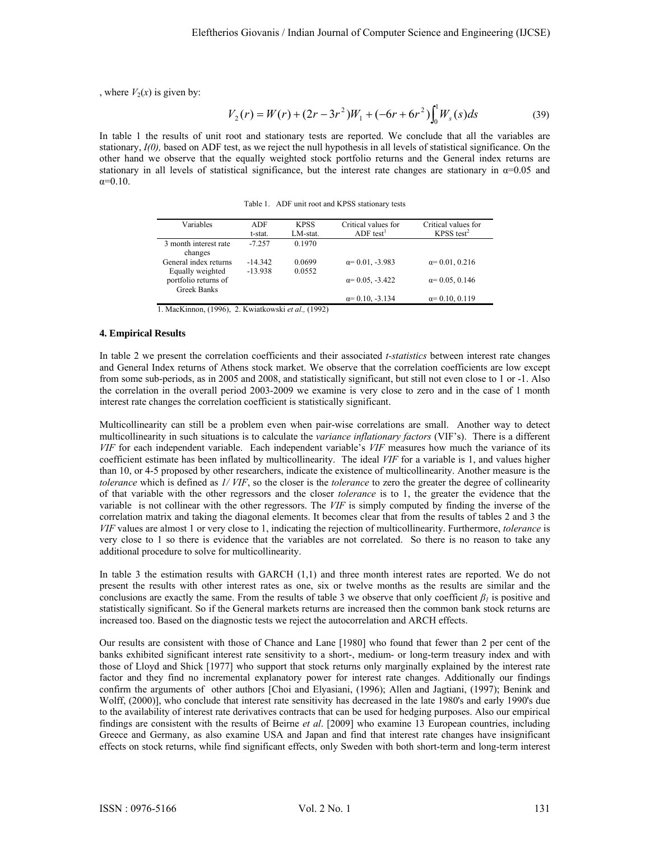, where  $V_2(x)$  is given by:

$$
V_2(r) = W(r) + (2r - 3r^2)W_1 + (-6r + 6r^2) \int_0^1 W_s(s)ds
$$
 (39)

In table 1 the results of unit root and stationary tests are reported. We conclude that all the variables are stationary, *I(0),* based on ADF test, as we reject the null hypothesis in all levels of statistical significance. On the other hand we observe that the equally weighted stock portfolio returns and the General index returns are stationary in all levels of statistical significance, but the interest rate changes are stationary in  $\alpha$ =0.05 and α=0.10.

Table 1. ADF unit root and KPSS stationary tests

| Variables             | ADF       | <b>KPSS</b> | Critical values for     | Critical values for    |
|-----------------------|-----------|-------------|-------------------------|------------------------|
|                       | t-stat.   | LM-stat.    | $ADF$ test <sup>1</sup> | KPSS test <sup>2</sup> |
| 3 month interest rate | $-7257$   | 0.1970      |                         |                        |
| changes               |           |             |                         |                        |
| General index returns | $-14.342$ | 0.0699      | $\alpha$ = 0.01, -3.983 | $\alpha = 0.01, 0.216$ |
| Equally weighted      | $-13.938$ | 0.0552      |                         |                        |
| portfolio returns of  |           |             | $\alpha$ = 0.05, -3.422 | $\alpha$ = 0.05, 0.146 |
| <b>Greek Banks</b>    |           |             |                         |                        |
|                       |           |             | $\alpha$ = 0.10, -3.134 | $\alpha = 0.10, 0.119$ |

1. MacKinnon, (1996), 2. Kwiatkowski *et al.,* (1992)

# **4. Empirical Results**

In table 2 we present the correlation coefficients and their associated *t-statistics* between interest rate changes and General Index returns of Athens stock market. We observe that the correlation coefficients are low except from some sub-periods, as in 2005 and 2008, and statistically significant, but still not even close to 1 or -1. Also the correlation in the overall period 2003-2009 we examine is very close to zero and in the case of 1 month interest rate changes the correlation coefficient is statistically significant.

Multicollinearity can still be a problem even when pair-wise correlations are small. Another way to detect multicollinearity in such situations is to calculate the *variance inflationary factors* (VIF's). There is a different *VIF* for each independent variable. Each independent variable's *VIF* measures how much the variance of its coefficient estimate has been inflated by multicollinearity. The ideal *VIF* for a variable is 1, and values higher than 10, or 4-5 proposed by other researchers, indicate the existence of multicollinearity. Another measure is the *tolerance* which is defined as *1/ VIF*, so the closer is the *tolerance* to zero the greater the degree of collinearity of that variable with the other regressors and the closer *tolerance* is to 1, the greater the evidence that the variableis not collinear with the other regressors. The *VIF* is simply computed by finding the inverse of the correlation matrix and taking the diagonal elements. It becomes clear that from the results of tables 2 and 3 the *VIF* values are almost 1 or very close to 1, indicating the rejection of multicollinearity. Furthermore, *tolerance* is very close to 1 so there is evidence that the variables are not correlated.So there is no reason to take any additional procedure to solve for multicollinearity.

In table 3 the estimation results with GARCH (1,1) and three month interest rates are reported. We do not present the results with other interest rates as one, six or twelve months as the results are similar and the conclusions are exactly the same. From the results of table 3 we observe that only coefficient  $\beta$ <sup>*i*</sup> is positive and statistically significant. So if the General markets returns are increased then the common bank stock returns are increased too. Based on the diagnostic tests we reject the autocorrelation and ARCH effects.

Our results are consistent with those of Chance and Lane [1980] who found that fewer than 2 per cent of the banks exhibited significant interest rate sensitivity to a short-, medium- or long-term treasury index and with those of Lloyd and Shick [1977] who support that stock returns only marginally explained by the interest rate factor and they find no incremental explanatory power for interest rate changes. Additionally our findings confirm the arguments of other authors [Choi and Elyasiani, (1996); Allen and Jagtiani, (1997); Benink and Wolff, (2000)], who conclude that interest rate sensitivity has decreased in the late 1980's and early 1990's due to the availability of interest rate derivatives contracts that can be used for hedging purposes. Also our empirical findings are consistent with the results of Beirne *et al*. [2009] who examine 13 European countries, including Greece and Germany, as also examine USA and Japan and find that interest rate changes have insignificant effects on stock returns, while find significant effects, only Sweden with both short-term and long-term interest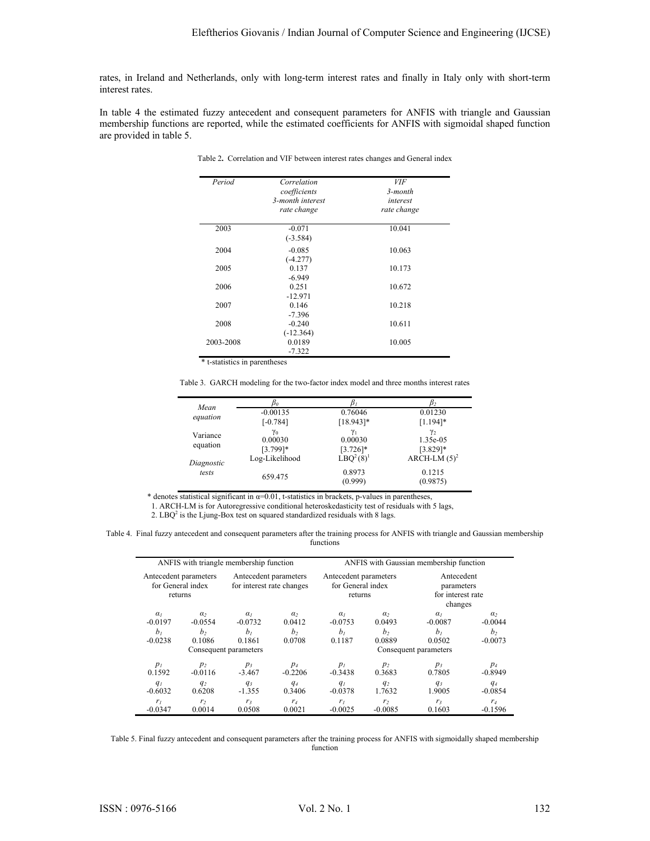rates, in Ireland and Netherlands, only with long-term interest rates and finally in Italy only with short-term interest rates.

In table 4 the estimated fuzzy antecedent and consequent parameters for ANFIS with triangle and Gaussian membership functions are reported, while the estimated coefficients for ANFIS with sigmoidal shaped function are provided in table 5.

| Period    | Correlation<br>coefficients<br>3-month interest<br>rate change | <b>VIF</b><br>3-month<br>interest<br>rate change |
|-----------|----------------------------------------------------------------|--------------------------------------------------|
| 2003      | $-0.071$<br>$(-3.584)$                                         | 10.041                                           |
| 2004      | $-0.085$<br>$(-4.277)$                                         | 10.063                                           |
| 2005      | 0.137<br>$-6.949$                                              | 10.173                                           |
| 2006      | 0.251<br>$-12.971$                                             | 10.672                                           |
| 2007      | 0.146<br>$-7.396$                                              | 10.218                                           |
| 2008      | $-0.240$<br>$(-12.364)$                                        | 10.611                                           |
| 2003-2008 | 0.0189<br>$-7.322$                                             | 10.005                                           |

Table 2**.** Correlation and VIF between interest rates changes and General index

Table 3. GARCH modeling for the two-factor index model and three months interest rates

| Mean       | bп             |                                   |                 |
|------------|----------------|-----------------------------------|-----------------|
| equation   | $-0.00135$     | 0.76046                           | 0.01230         |
|            | $[-0.784]$     | $[18.943]*$                       | $[1.194]$ *     |
| Variance   | $\gamma_0$     | $\gamma_1$                        | $\gamma_2$      |
|            | 0.00030        | 0.00030                           | 1.35e-05        |
| equation   | $[3.799]$ *    | $[3.726]$ *                       | $[3.829]*$      |
| Diagnostic | Log-Likelihood | LBO <sup>2</sup> (8) <sup>1</sup> | ARCH-LM $(5)^2$ |
| tests      |                | 0.8973                            | 0.1215          |
|            | 659.475        | (0.999)                           | (0.9875)        |
|            |                |                                   |                 |

\* denotes statistical significant in  $\alpha=0.01$ , t-statistics in brackets, p-values in parentheses,

1. ARCH-LM is for Autoregressive conditional heteroskedasticity test of residuals with 5 lags,

2. LBQ<sup>2</sup> is the Ljung-Box test on squared standardized residuals with 8 lags.

Table 4. Final fuzzy antecedent and consequent parameters after the training process for ANFIS with triangle and Gaussian membership functions

| ANFIS with triangle membership function               |                    |                                                    |                       | ANFIS with Gaussian membership function               |                          |                                                          |                    |
|-------------------------------------------------------|--------------------|----------------------------------------------------|-----------------------|-------------------------------------------------------|--------------------------|----------------------------------------------------------|--------------------|
| Antecedent parameters<br>for General index<br>returns |                    | Antecedent parameters<br>for interest rate changes |                       | Antecedent parameters<br>for General index<br>returns |                          | Antecedent<br>parameters<br>for interest rate<br>changes |                    |
| $\alpha$                                              | a <sub>2</sub>     | $\alpha$                                           | $\alpha$              | $\alpha$                                              | $\alpha$                 | $\alpha$                                                 | $\alpha$           |
| $-0.0197$                                             | $-0.0554$          | $-0.0732$                                          | 0.0412                | $-0.0753$                                             | 0.0493                   | $-0.0087$                                                | $-0.0044$          |
| b <sub>1</sub>                                        | b <sub>2</sub>     | b <sub>1</sub>                                     | b <sub>2</sub>        | b <sub>1</sub>                                        | b <sub>2</sub>           | b <sub>1</sub>                                           | b <sub>2</sub>     |
| $-0.0238$                                             | 0.1086             | 0.1861                                             | 0.0708                | 0.1187                                                | 0.0889                   | 0.0502                                                   | $-0.0073$          |
| Consequent parameters                                 |                    |                                                    | Consequent parameters |                                                       |                          |                                                          |                    |
| $p_l$<br>0.1592                                       | $p_2$<br>$-0.0116$ | $p_3$<br>$-3.467$                                  | $p_4$<br>$-0.2206$    | $p_l$<br>$-0.3438$                                    | $p_2$<br>0.3683          | $p_3$<br>0.7805                                          | $p_4$<br>$-0.8949$ |
| q <sub>I</sub><br>$-0.6032$                           | $q_2$<br>0.6208    | $q_3$<br>$-1.355$                                  | $q_4$<br>0.3406       | $q_I$<br>$-0.0378$                                    | q <sub>2</sub><br>1.7632 | $q_3$<br>1.9005                                          | $q_4$<br>$-0.0854$ |
| r <sub>l</sub>                                        | r <sub>2</sub>     | r <sub>3</sub>                                     | $r_4$                 | r <sub>i</sub>                                        | r <sub>2</sub>           | r <sub>3</sub>                                           | $r_4$              |
| $-0.0347$                                             | 0.0014             | 0.0508                                             | 0.0021                | $-0.0025$                                             | $-0.0085$                | 0.1603                                                   | $-0.1596$          |

Table 5. Final fuzzy antecedent and consequent parameters after the training process for ANFIS with sigmoidally shaped membership function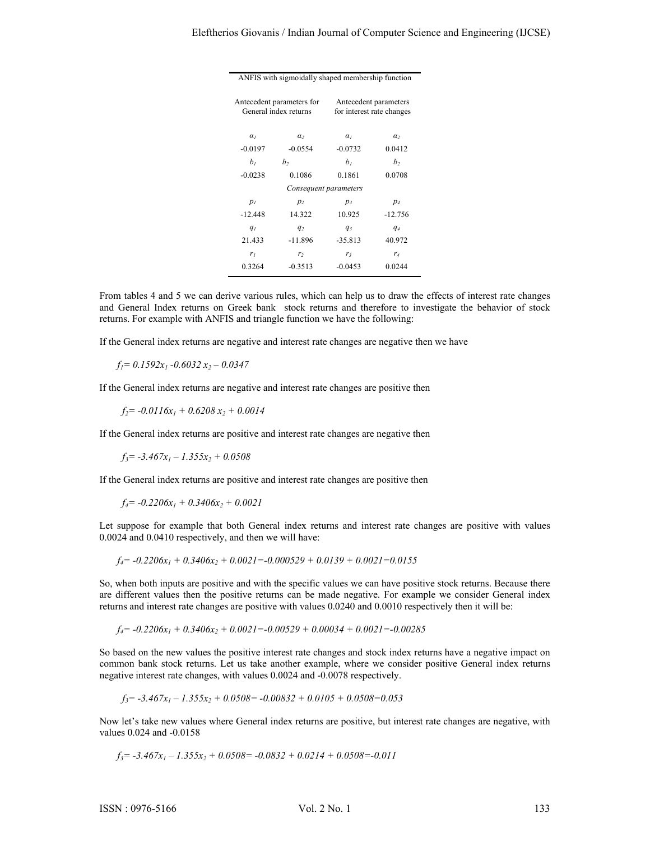| ANFIS with sigmoidally shaped membership function                                                        |                |                |                |  |  |  |
|----------------------------------------------------------------------------------------------------------|----------------|----------------|----------------|--|--|--|
| Antecedent parameters for<br>Antecedent parameters<br>General index returns<br>for interest rate changes |                |                |                |  |  |  |
| $\alpha$                                                                                                 | $\alpha$       | $\alpha$       | $\alpha$       |  |  |  |
| $-0.0197$                                                                                                | $-0.0554$      | $-0.0732$      | 0.0412         |  |  |  |
| b <sub>1</sub>                                                                                           | b <sub>2</sub> | b <sub>1</sub> | b <sub>2</sub> |  |  |  |
| $-0.0238$                                                                                                | 0.1086         | 0.1861         | 0.0708         |  |  |  |
| Consequent parameters                                                                                    |                |                |                |  |  |  |
| $p_l$                                                                                                    | $p_2$          | $p_3$          | $p_4$          |  |  |  |
| $-12.448$                                                                                                | 14.322         | 10.925         | $-12.756$      |  |  |  |
| $q_{l}$                                                                                                  | $q_2$          | $q_3$          | $q_4$          |  |  |  |
| 21.433                                                                                                   | $-11.896$      | $-35.813$      | 40.972         |  |  |  |
| r <sub>1</sub>                                                                                           | r <sub>2</sub> | r;             | r <sub>4</sub> |  |  |  |
| 0.3264                                                                                                   | $-0.3513$      | $-0.0453$      | 0.0244         |  |  |  |

From tables 4 and 5 we can derive various rules, which can help us to draw the effects of interest rate changes and General Index returns on Greek bank stock returns and therefore to investigate the behavior of stock returns. For example with ANFIS and triangle function we have the following:

If the General index returns are negative and interest rate changes are negative then we have

 $f_1= 0.1592x_1 - 0.6032x_2 - 0.0347$ 

If the General index returns are negative and interest rate changes are positive then

 $f_2$ = -0.0116x<sub>1</sub> + 0.6208 x<sub>2</sub> + 0.0014

If the General index returns are positive and interest rate changes are negative then

 $f_3$ = -3.467x<sub>1</sub> – 1.355x<sub>2</sub> + 0.0508

If the General index returns are positive and interest rate changes are positive then

 $f_4$ =  $-0.2206x_1 + 0.3406x_2 + 0.0021$ 

Let suppose for example that both General index returns and interest rate changes are positive with values 0.0024 and 0.0410 respectively, and then we will have:

 $f_4$  =  $-0.2206x_1 + 0.3406x_2 + 0.0021 = -0.000529 + 0.0139 + 0.0021 = 0.0155$ 

So, when both inputs are positive and with the specific values we can have positive stock returns. Because there are different values then the positive returns can be made negative. For example we consider General index returns and interest rate changes are positive with values 0.0240 and 0.0010 respectively then it will be:

$$
f_4 = -0.2206x_1 + 0.3406x_2 + 0.0021 = -0.00529 + 0.00034 + 0.0021 = -0.00285
$$

So based on the new values the positive interest rate changes and stock index returns have a negative impact on common bank stock returns. Let us take another example, where we consider positive General index returns negative interest rate changes, with values 0.0024 and -0.0078 respectively.

$$
f_3 = -3.467x_1 - 1.355x_2 + 0.0508 = -0.00832 + 0.0105 + 0.0508 = 0.053
$$

Now let's take new values where General index returns are positive, but interest rate changes are negative, with values 0.024 and -0.0158

$$
f_3 = -3.467x_1 - 1.355x_2 + 0.0508 = -0.0832 + 0.0214 + 0.0508 = -0.011
$$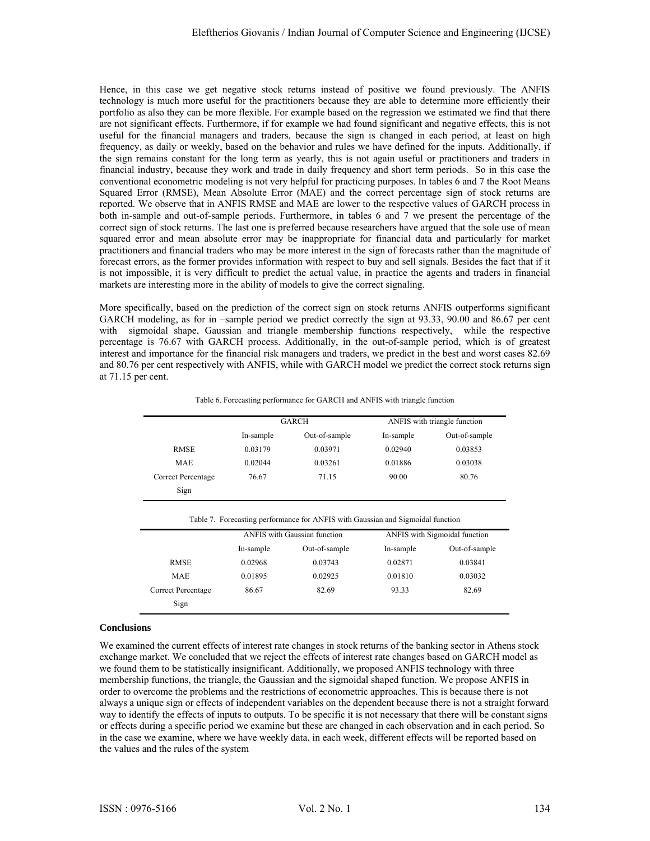Hence, in this case we get negative stock returns instead of positive we found previously. The ANFIS technology is much more useful for the practitioners because they are able to determine more efficiently their portfolio as also they can be more flexible. For example based on the regression we estimated we find that there are not significant effects. Furthermore, if for example we had found significant and negative effects, this is not useful for the financial managers and traders, because the sign is changed in each period, at least on high frequency, as daily or weekly, based on the behavior and rules we have defined for the inputs. Additionally, if the sign remains constant for the long term as yearly, this is not again useful or practitioners and traders in financial industry, because they work and trade in daily frequency and short term periods. So in this case the conventional econometric modeling is not very helpful for practicing purposes. In tables 6 and 7 the Root Means Squared Error (RMSE), Mean Absolute Error (MAE) and the correct percentage sign of stock returns are reported. We observe that in ANFIS RMSE and MAE are lower to the respective values of GARCH process in both in-sample and out-of-sample periods. Furthermore, in tables 6 and 7 we present the percentage of the correct sign of stock returns. The last one is preferred because researchers have argued that the sole use of mean squared error and mean absolute error may be inappropriate for financial data and particularly for market practitioners and financial traders who may be more interest in the sign of forecasts rather than the magnitude of forecast errors, as the former provides information with respect to buy and sell signals. Besides the fact that if it is not impossible, it is very difficult to predict the actual value, in practice the agents and traders in financial markets are interesting more in the ability of models to give the correct signaling.

More specifically, based on the prediction of the correct sign on stock returns ANFIS outperforms significant GARCH modeling, as for in –sample period we predict correctly the sign at 93.33, 90.00 and 86.67 per cent with sigmoidal shape, Gaussian and triangle membership functions respectively, while the respective percentage is 76.67 with GARCH process. Additionally, in the out-of-sample period, which is of greatest interest and importance for the financial risk managers and traders, we predict in the best and worst cases 82.69 and 80.76 per cent respectively with ANFIS, while with GARCH model we predict the correct stock returns sign at 71.15 per cent.

|                    |           | <b>GARCH</b>  | ANFIS with triangle function |               |  |
|--------------------|-----------|---------------|------------------------------|---------------|--|
|                    | In-sample | Out-of-sample | In-sample                    | Out-of-sample |  |
| <b>RMSE</b>        | 0.03179   | 0.03971       | 0.02940                      | 0.03853       |  |
| <b>MAE</b>         | 0.02044   | 0.03261       | 0.01886                      | 0.03038       |  |
| Correct Percentage | 76.67     | 71.15         | 90.00                        | 80.76         |  |
| Sign               |           |               |                              |               |  |

Table 6. Forecasting performance for GARCH and ANFIS with triangle function

|                    |                            | <b>ANFIS</b> with Gaussian function | ANFIS with Sigmoidal function |               |
|--------------------|----------------------------|-------------------------------------|-------------------------------|---------------|
|                    | Out-of-sample<br>In-sample |                                     | In-sample                     | Out-of-sample |
| <b>RMSE</b>        | 0.02968                    | 0.03743                             | 0.02871                       | 0.03841       |
| <b>MAE</b>         | 0.01895                    | 0.02925                             | 0.01810                       | 0.03032       |
| Correct Percentage | 86.67                      | 82.69                               | 93.33                         | 82.69         |
| Sign               |                            |                                     |                               |               |

## **Conclusions**

We examined the current effects of interest rate changes in stock returns of the banking sector in Athens stock exchange market. We concluded that we reject the effects of interest rate changes based on GARCH model as we found them to be statistically insignificant. Additionally, we proposed ANFIS technology with three membership functions, the triangle, the Gaussian and the sigmoidal shaped function. We propose ANFIS in order to overcome the problems and the restrictions of econometric approaches. This is because there is not always a unique sign or effects of independent variables on the dependent because there is not a straight forward way to identify the effects of inputs to outputs. To be specific it is not necessary that there will be constant signs or effects during a specific period we examine but these are changed in each observation and in each period. So in the case we examine, where we have weekly data, in each week, different effects will be reported based on the values and the rules of the system